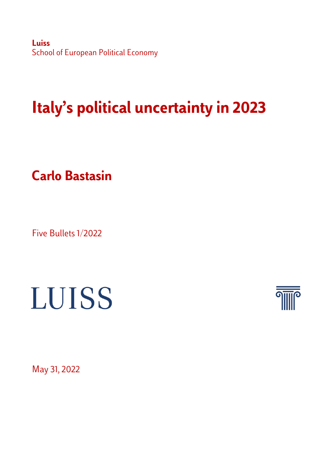**Luiss** School of European Political Economy

## **Italy's political uncertainty in 2023**

**Carlo Bastasin**

Five Bullets 1/2022

## LUISS



May 31, 2022